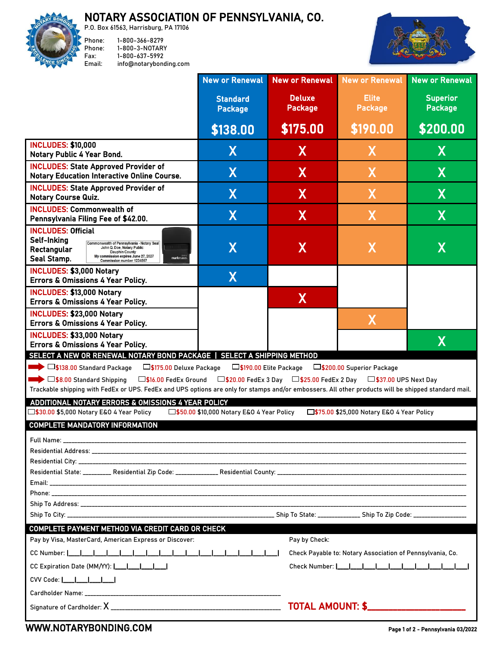## NOTARY ASSOCIATION OF PENNSYLVANIA, CO.



P.O. Box 61563, Harrisburg, PA 17106 Phone: 1-800-366-8279 Phone: 1-800-3-NOTARY Fax: 1-800-637-5992 Email: info@notarybonding.com



|                                                                                                                                                                                                                                                                                                                                                                                                                                                                                                                | <b>New or Renewal</b>             | <b>New or Renewal</b>           | <b>New or Renewal</b>          | <b>New or Renewal</b>             |  |
|----------------------------------------------------------------------------------------------------------------------------------------------------------------------------------------------------------------------------------------------------------------------------------------------------------------------------------------------------------------------------------------------------------------------------------------------------------------------------------------------------------------|-----------------------------------|---------------------------------|--------------------------------|-----------------------------------|--|
|                                                                                                                                                                                                                                                                                                                                                                                                                                                                                                                | <b>Standard</b><br><b>Package</b> | <b>Deluxe</b><br><b>Package</b> | <b>Elite</b><br><b>Package</b> | <b>Superior</b><br><b>Package</b> |  |
|                                                                                                                                                                                                                                                                                                                                                                                                                                                                                                                | \$138.00                          | \$175.00                        | \$190.00                       | \$200.00                          |  |
| <b>INCLUDES: \$10,000</b><br><b>Notary Public 4 Year Bond.</b>                                                                                                                                                                                                                                                                                                                                                                                                                                                 | X                                 | X                               | X.                             | X                                 |  |
| <b>INCLUDES: State Approved Provider of</b><br><b>Notary Education Interactive Online Course.</b>                                                                                                                                                                                                                                                                                                                                                                                                              | $\overline{\mathsf{X}}$           | X                               | X                              | X                                 |  |
| <b>INCLUDES: State Approved Provider of</b><br><b>Notary Course Quiz.</b>                                                                                                                                                                                                                                                                                                                                                                                                                                      | X                                 | X                               | X                              | X                                 |  |
| <b>INCLUDES: Commonwealth of</b><br>Pennsylvania Filing Fee of \$42.00.                                                                                                                                                                                                                                                                                                                                                                                                                                        | $\overline{\mathsf{X}}$           | X                               | X                              | X                                 |  |
| <b>INCLUDES: Official</b><br>Self-Inking<br>Commonwealth of Pennsylvania - Notary Seal<br>John Q. Doe, Notary Public<br>Rectangular<br><b>Dauphin County</b><br>My commission expires June 27, 2027<br>markmaker.<br>Seal Stamp.<br>Commission number 1234567                                                                                                                                                                                                                                                  | $\mathsf{X}$                      | X                               | X                              | X                                 |  |
| <b>INCLUDES: \$3,000 Notary</b><br>Errors & Omissions 4 Year Policy.                                                                                                                                                                                                                                                                                                                                                                                                                                           | X                                 |                                 |                                |                                   |  |
| <b>INCLUDES: \$13,000 Notary</b><br>Errors & Omissions 4 Year Policy.                                                                                                                                                                                                                                                                                                                                                                                                                                          |                                   | X                               |                                |                                   |  |
| <b>INCLUDES: \$23,000 Notary</b><br>Errors & Omissions 4 Year Policy.                                                                                                                                                                                                                                                                                                                                                                                                                                          |                                   |                                 | X                              |                                   |  |
| <b>INCLUDES: \$33,000 Notary</b><br>Errors & Omissions 4 Year Policy.                                                                                                                                                                                                                                                                                                                                                                                                                                          |                                   |                                 |                                | X                                 |  |
| SELECT A NEW OR RENEWAL NOTARY BOND PACKAGE   SELECT A SHIPPING METHOD<br>□\$138.00 Standard Package<br>□\$175.00 Deluxe Package<br>□\$190.00 Elite Package<br>□\$200.00 Superior Package<br>$\blacktriangleright$ $\square$ \$8.00 Standard Shipping<br>$\Box$ \$16.00 FedEx Ground<br>□\$20.00 FedEx 3 Day □\$25.00 FedEx 2 Day □\$37.00 UPS Next Day<br>Trackable shipping with FedEx or UPS. FedEx and UPS options are only for stamps and/or embossers. All other products will be shipped standard mail. |                                   |                                 |                                |                                   |  |
| ADDITIONAL NOTARY ERRORS & OMISSIONS 4 YEAR POLICY<br>□\$30.00 \$5,000 Notary E&O 4 Year Policy<br>□\$50.00 \$10,000 Notary E&O 4 Year Policy<br>□\$75.00 \$25,000 Notary E&O 4 Year Policy                                                                                                                                                                                                                                                                                                                    |                                   |                                 |                                |                                   |  |
| <b>COMPLETE MANDATORY INFORMATION</b>                                                                                                                                                                                                                                                                                                                                                                                                                                                                          |                                   |                                 |                                |                                   |  |
| Full Name: ________                                                                                                                                                                                                                                                                                                                                                                                                                                                                                            |                                   |                                 |                                |                                   |  |
|                                                                                                                                                                                                                                                                                                                                                                                                                                                                                                                |                                   |                                 |                                |                                   |  |
|                                                                                                                                                                                                                                                                                                                                                                                                                                                                                                                |                                   |                                 |                                |                                   |  |
|                                                                                                                                                                                                                                                                                                                                                                                                                                                                                                                |                                   |                                 |                                |                                   |  |
| COMPLETE PAYMENT METHOD VIA CREDIT CARD OR CHECK<br>Pay by Visa, MasterCard, American Express or Discover:<br>Pay by Check:                                                                                                                                                                                                                                                                                                                                                                                    |                                   |                                 |                                |                                   |  |
| Check Payable to: Notary Association of Pennsylvania, Co.                                                                                                                                                                                                                                                                                                                                                                                                                                                      |                                   |                                 |                                |                                   |  |
| CC Expiration Date (MM/YY):  ___ ___ ___ ___                                                                                                                                                                                                                                                                                                                                                                                                                                                                   |                                   |                                 | Check Number:                  |                                   |  |
|                                                                                                                                                                                                                                                                                                                                                                                                                                                                                                                |                                   |                                 |                                |                                   |  |
|                                                                                                                                                                                                                                                                                                                                                                                                                                                                                                                |                                   |                                 |                                |                                   |  |
|                                                                                                                                                                                                                                                                                                                                                                                                                                                                                                                |                                   |                                 |                                |                                   |  |

## [WWW.NOTARYBONDING.COM](http://www.notarybonding.com/) Page 1 of 2 - Pennsylvania 03/2022